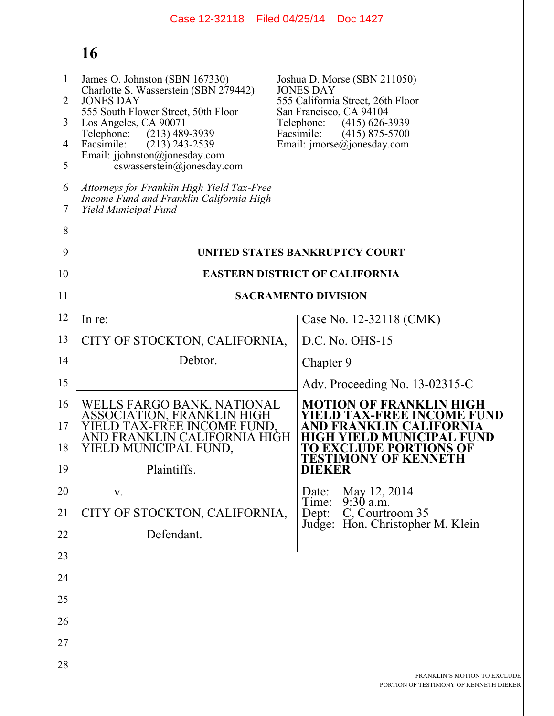|                     | Case 12-32118 Filed 04/25/14 Doc 1427                                                                               |                                                                                                                 |
|---------------------|---------------------------------------------------------------------------------------------------------------------|-----------------------------------------------------------------------------------------------------------------|
|                     | 16                                                                                                                  |                                                                                                                 |
| $\mathbf{1}$        | James O. Johnston (SBN 167330)<br>Charlotte S. Wasserstein (SBN 279442)                                             | Joshua D. Morse (SBN 211050)<br><b>JONES DAY</b>                                                                |
| $\overline{2}$      | <b>JONES DAY</b><br>555 South Flower Street, 50th Floor                                                             | 555 California Street, 26th Floor<br>San Francisco, CA 94104                                                    |
| 3                   | Los Angeles, CA 90071<br>Telephone:<br>$(213)$ 489-3939                                                             | Telephone:<br>$(415)$ 626-3939<br>Facsimile:<br>$(415)$ 875-5700                                                |
| $\overline{4}$<br>5 | Facsimile:<br>$(213)$ 243-2539<br>Email: jjohnston@jonesday.com<br>cswasserstein@jonesday.com                       | Email: $\text{imorse}(a)$ jonesday.com                                                                          |
| 6<br>$\tau$         | Attorneys for Franklin High Yield Tax-Free<br>Income Fund and Franklin California High<br>Yield Municipal Fund      |                                                                                                                 |
| 8                   |                                                                                                                     |                                                                                                                 |
| 9                   |                                                                                                                     | UNITED STATES BANKRUPTCY COURT                                                                                  |
| 10                  |                                                                                                                     | <b>EASTERN DISTRICT OF CALIFORNIA</b>                                                                           |
| 11                  |                                                                                                                     | <b>SACRAMENTO DIVISION</b>                                                                                      |
| 12                  | In re:                                                                                                              | Case No. 12-32118 (CMK)                                                                                         |
| 13                  | CITY OF STOCKTON, CALIFORNIA,                                                                                       | D.C. No. OHS-15                                                                                                 |
| 14                  | Debtor.                                                                                                             | Chapter 9                                                                                                       |
| 15                  |                                                                                                                     | Adv. Proceeding No. $13-02315-C$                                                                                |
| 16<br>17            | WELLS FARGO BANK, NATIONAL<br>ASSOCIATION, FRANKLIN HIGH<br>D TAX-FREE INCOME FUND.<br>AND FRANKLIN CALIFORNIA HIGH | <b>MOTION OF FRANKLIN HIGH</b><br><b>YIELD TAX-FREE INCOME FUND</b><br><b>FORNIA</b><br><b>D MUNICIPAL FUND</b> |
| 18                  | YIELD MUNICIPAL FUND,                                                                                               | <b>TO EXCLUDE PORTIONS OF</b><br><b>TESTIMONY OF KENNETH</b>                                                    |
| 19                  | Plaintiffs.                                                                                                         | <b>DIEKER</b>                                                                                                   |
| 20                  | V.                                                                                                                  | May 12, 2014<br>Date:<br>$9:30$ a.m.<br>Time:                                                                   |
| 21                  | CITY OF STOCKTON, CALIFORNIA,                                                                                       | C, Courtroom 35<br>Dept:<br>Judge: Hon. Christopher M. Klein                                                    |
| 22                  | Defendant.                                                                                                          |                                                                                                                 |
| 23                  |                                                                                                                     |                                                                                                                 |
| 24                  |                                                                                                                     |                                                                                                                 |
| 25                  |                                                                                                                     |                                                                                                                 |
| 26<br>27            |                                                                                                                     |                                                                                                                 |
| 28                  |                                                                                                                     |                                                                                                                 |
|                     |                                                                                                                     | FRANKLIN'S MOTION TO EXCLUDE<br>PORTION OF TESTIMONY OF KENNETH DIEKER                                          |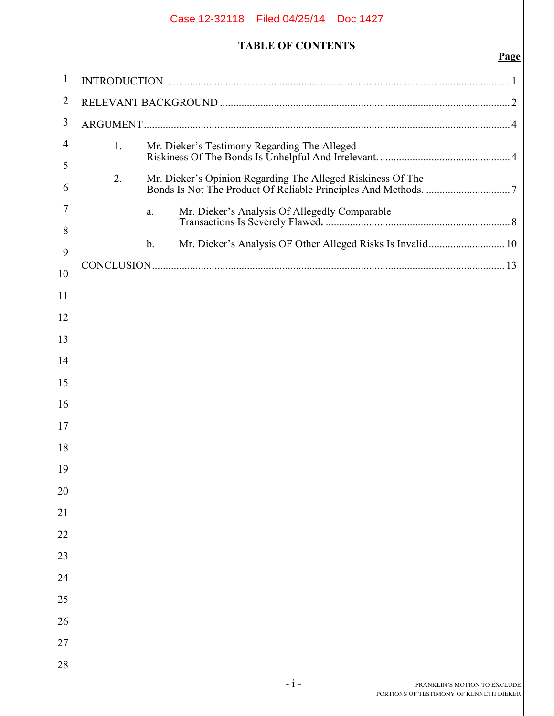|              | Case 12-32118 Filed 04/25/14 Doc 1427                                            |             |
|--------------|----------------------------------------------------------------------------------|-------------|
|              | <b>TABLE OF CONTENTS</b>                                                         | <b>Page</b> |
| $\mathbf{1}$ |                                                                                  |             |
| 2            |                                                                                  |             |
| 3            |                                                                                  |             |
| 4            | 1.                                                                               |             |
| 5            |                                                                                  |             |
| 6            | 2.                                                                               |             |
| 7            | a.                                                                               |             |
| 8            | Mr. Dieker's Analysis OF Other Alleged Risks Is Invalid 10<br>$\mathbf{b}$ .     |             |
| 9            |                                                                                  |             |
| 10           |                                                                                  |             |
| 11           |                                                                                  |             |
| 12           |                                                                                  |             |
| 13           |                                                                                  |             |
| 14           |                                                                                  |             |
| 15<br>16     |                                                                                  |             |
| 17           |                                                                                  |             |
| 18           |                                                                                  |             |
| 19           |                                                                                  |             |
| 20           |                                                                                  |             |
| 21           |                                                                                  |             |
| 22           |                                                                                  |             |
| 23           |                                                                                  |             |
| 24           |                                                                                  |             |
| 25           |                                                                                  |             |
| 26           |                                                                                  |             |
| 27           |                                                                                  |             |
| 28           |                                                                                  |             |
|              | $-i-$<br>FRANKLIN'S MOTION TO EXCLUDE<br>PORTIONS OF TESTIMONY OF KENNETH DIEKER |             |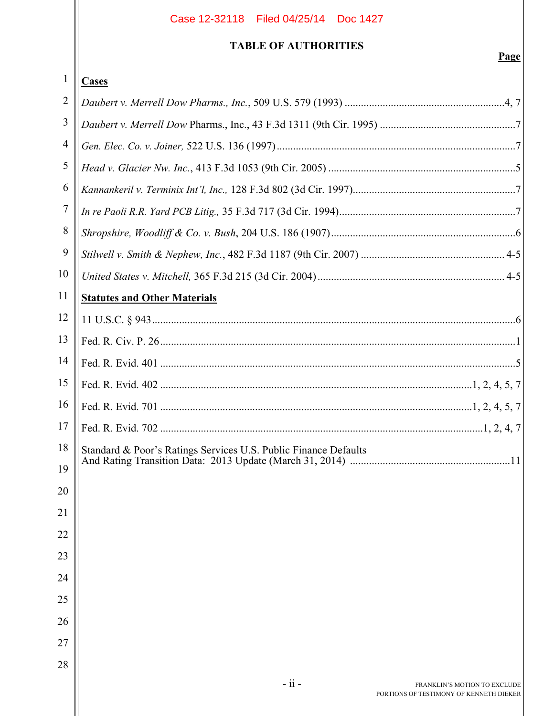# **TABLE OF AUTHORITIES**

| 1              | <b>Cases</b>                                                    |
|----------------|-----------------------------------------------------------------|
| $\overline{2}$ |                                                                 |
| 3              |                                                                 |
| $\overline{4}$ |                                                                 |
| 5              |                                                                 |
| 6              |                                                                 |
| 7              |                                                                 |
| 8              |                                                                 |
| 9              |                                                                 |
| 10             |                                                                 |
| 11             | <b>Statutes and Other Materials</b>                             |
| 12             |                                                                 |
| 13             |                                                                 |
| 14             |                                                                 |
| 15             |                                                                 |
| 16             |                                                                 |
| 17             |                                                                 |
| 18             | Standard & Poor's Ratings Services U.S. Public Finance Defaults |
| 19             |                                                                 |
| 20             |                                                                 |
| 21             |                                                                 |
| 22             |                                                                 |
| 23             |                                                                 |
| 24             |                                                                 |
| 25             |                                                                 |
| 26             |                                                                 |
| 27             |                                                                 |
| 28             |                                                                 |
|                | $-ii -$<br>FRANKLIN'S MOTION TO EXCLUDE                         |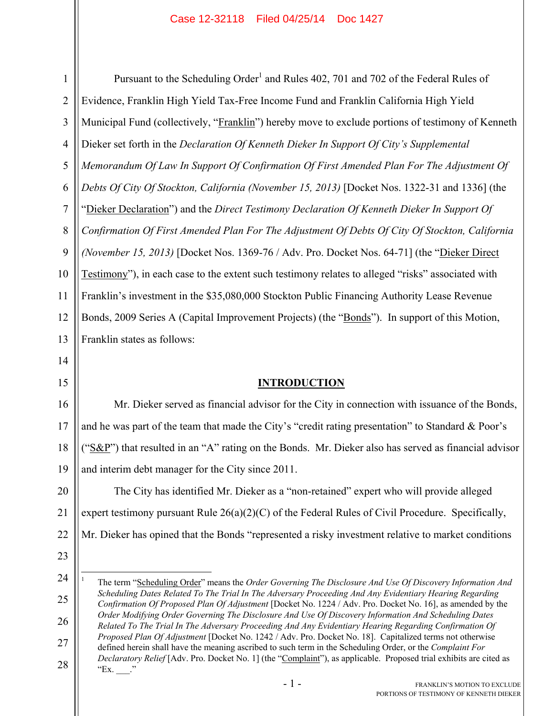1 2 3 4 5 6 7 8 9 10 11 12 13 Pursuant to the Scheduling Order<sup>1</sup> and Rules 402, 701 and 702 of the Federal Rules of Evidence, Franklin High Yield Tax-Free Income Fund and Franklin California High Yield Municipal Fund (collectively, "Franklin") hereby move to exclude portions of testimony of Kenneth Dieker set forth in the *Declaration Of Kenneth Dieker In Support Of City's Supplemental Memorandum Of Law In Support Of Confirmation Of First Amended Plan For The Adjustment Of Debts Of City Of Stockton, California (November 15, 2013)* [Docket Nos. 1322-31 and 1336] (the "Dieker Declaration") and the *Direct Testimony Declaration Of Kenneth Dieker In Support Of Confirmation Of First Amended Plan For The Adjustment Of Debts Of City Of Stockton, California (November 15, 2013)* [Docket Nos. 1369-76 / Adv. Pro. Docket Nos. 64-71] (the "Dieker Direct Testimony"), in each case to the extent such testimony relates to alleged "risks" associated with Franklin's investment in the \$35,080,000 Stockton Public Financing Authority Lease Revenue Bonds, 2009 Series A (Capital Improvement Projects) (the "Bonds"). In support of this Motion, Franklin states as follows:

## **INTRODUCTION**

16 17 18 19 Mr. Dieker served as financial advisor for the City in connection with issuance of the Bonds, and he was part of the team that made the City's "credit rating presentation" to Standard & Poor's ("S&P") that resulted in an "A" rating on the Bonds. Mr. Dieker also has served as financial advisor and interim debt manager for the City since 2011.

20 21 22 The City has identified Mr. Dieker as a "non-retained" expert who will provide alleged expert testimony pursuant Rule  $26(a)(2)(C)$  of the Federal Rules of Civil Procedure. Specifically, Mr. Dieker has opined that the Bonds "represented a risky investment relative to market conditions

23

 $\overline{a}$ 

14

15

24

25

26

27

28

1 The term "Scheduling Order" means the *Order Governing The Disclosure And Use Of Discovery Information And Scheduling Dates Related To The Trial In The Adversary Proceeding And Any Evidentiary Hearing Regarding Confirmation Of Proposed Plan Of Adjustment* [Docket No. 1224 / Adv. Pro. Docket No. 16], as amended by the *Order Modifying Order Governing The Disclosure And Use Of Discovery Information And Scheduling Dates Related To The Trial In The Adversary Proceeding And Any Evidentiary Hearing Regarding Confirmation Of Proposed Plan Of Adjustment* [Docket No. 1242 / Adv. Pro. Docket No. 18]. Capitalized terms not otherwise defined herein shall have the meaning ascribed to such term in the Scheduling Order, or the *Complaint For Declaratory Relief* [Adv. Pro. Docket No. 1] (the "Complaint"), as applicable. Proposed trial exhibits are cited as "Ex.  $\cdot$ "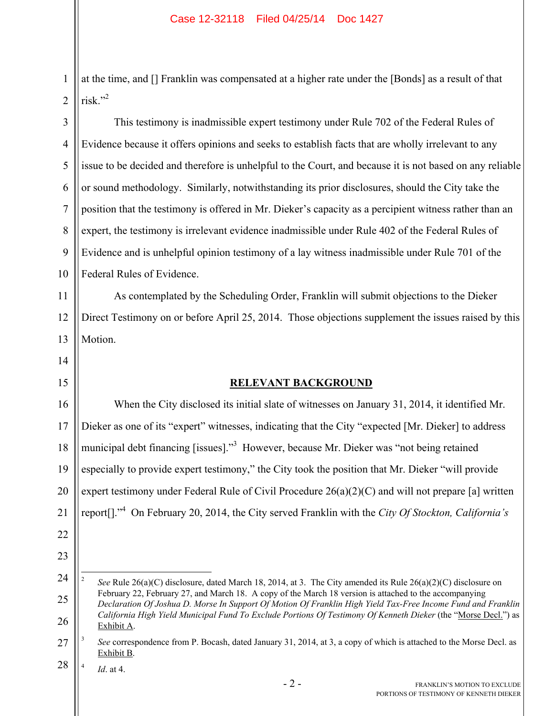1 2 at the time, and [] Franklin was compensated at a higher rate under the [Bonds] as a result of that risk."2

3 4 5 6 7 8 9 10 This testimony is inadmissible expert testimony under Rule 702 of the Federal Rules of Evidence because it offers opinions and seeks to establish facts that are wholly irrelevant to any issue to be decided and therefore is unhelpful to the Court, and because it is not based on any reliable or sound methodology. Similarly, notwithstanding its prior disclosures, should the City take the position that the testimony is offered in Mr. Dieker's capacity as a percipient witness rather than an expert, the testimony is irrelevant evidence inadmissible under Rule 402 of the Federal Rules of Evidence and is unhelpful opinion testimony of a lay witness inadmissible under Rule 701 of the Federal Rules of Evidence.

12 13 As contemplated by the Scheduling Order, Franklin will submit objections to the Dieker Direct Testimony on or before April 25, 2014. Those objections supplement the issues raised by this Motion.

## **RELEVANT BACKGROUND**

16 17 18 19 20 21 When the City disclosed its initial slate of witnesses on January 31, 2014, it identified Mr. Dieker as one of its "expert" witnesses, indicating that the City "expected [Mr. Dieker] to address municipal debt financing [issues]."<sup>3</sup> However, because Mr. Dieker was "not being retained especially to provide expert testimony," the City took the position that Mr. Dieker "will provide expert testimony under Federal Rule of Civil Procedure 26(a)(2)(C) and will not prepare [a] written report[]."4 On February 20, 2014, the City served Franklin with the *City Of Stockton, California's* 

11

14

15

22

<sup>24</sup> 25 26  $\frac{1}{2}$  *See* Rule 26(a)(C) disclosure, dated March 18, 2014, at 3. The City amended its Rule 26(a)(2)(C) disclosure on February 22, February 27, and March 18. A copy of the March 18 version is attached to the accompanying *Declaration Of Joshua D. Morse In Support Of Motion Of Franklin High Yield Tax-Free Income Fund and Franklin California High Yield Municipal Fund To Exclude Portions Of Testimony Of Kenneth Dieker* (the "Morse Decl.") as Exhibit A.

<sup>27</sup> 3 *See* correspondence from P. Bocash, dated January 31, 2014, at 3, a copy of which is attached to the Morse Decl. as Exhibit B.

<sup>28</sup> 4 *Id*. at 4.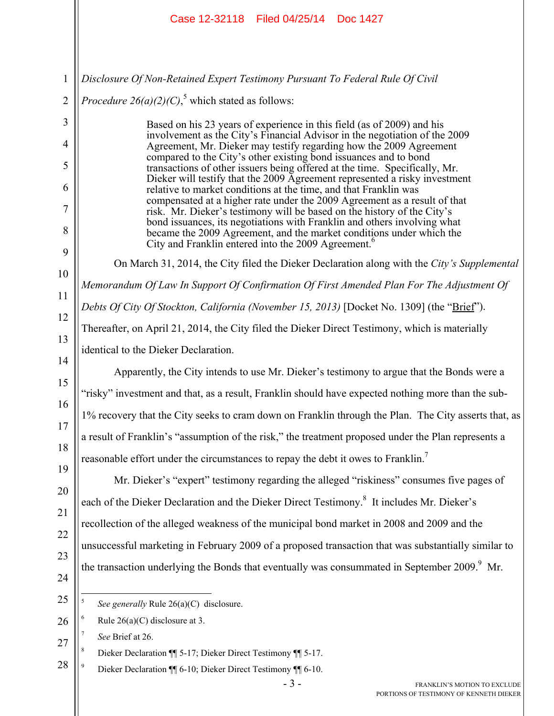|                                                                                                                          | Case 12-32118 Filed 04/25/14 Doc 1427                                                                                                                                                                                                                                                                                                                                                                                                                                                                                                                                                                                                                                                                                                                                                                                                                                                                                                                                                                                                                                                                                                                                                                                                                                                                                                                                                                                                                                                                                                                                                                                                                                                                                                                                                                                |
|--------------------------------------------------------------------------------------------------------------------------|----------------------------------------------------------------------------------------------------------------------------------------------------------------------------------------------------------------------------------------------------------------------------------------------------------------------------------------------------------------------------------------------------------------------------------------------------------------------------------------------------------------------------------------------------------------------------------------------------------------------------------------------------------------------------------------------------------------------------------------------------------------------------------------------------------------------------------------------------------------------------------------------------------------------------------------------------------------------------------------------------------------------------------------------------------------------------------------------------------------------------------------------------------------------------------------------------------------------------------------------------------------------------------------------------------------------------------------------------------------------------------------------------------------------------------------------------------------------------------------------------------------------------------------------------------------------------------------------------------------------------------------------------------------------------------------------------------------------------------------------------------------------------------------------------------------------|
| $\mathbf{1}$<br>$\overline{2}$<br>3<br>$\overline{4}$<br>5<br>6<br>7<br>8<br>9<br>10<br>11<br>12<br>13<br>14<br>15<br>16 | Disclosure Of Non-Retained Expert Testimony Pursuant To Federal Rule Of Civil<br><i>Procedure 26(a)(2)(C)</i> , <sup>5</sup> which stated as follows:<br>Based on his 23 years of experience in this field (as of 2009) and his<br>involvement as the City's Financial Advisor in the negotiation of the 2009<br>Agreement, Mr. Dieker may testify regarding how the 2009 Agreement<br>compared to the City's other existing bond issuances and to bond<br>transactions of other issuers being offered at the time. Specifically, Mr.<br>Dieker will testify that the 2009 Agreement represented a risky investment<br>relative to market conditions at the time, and that Franklin was<br>compensated at a higher rate under the 2009 Agreement as a result of that<br>risk. Mr. Dieker's testimony will be based on the history of the City's<br>bond issuances, its negotiations with Franklin and others involving what<br>became the 2009 Agreement, and the market conditions under which the<br>City and Franklin entered into the 2009 Agreement. <sup>6</sup><br>On March 31, 2014, the City filed the Dieker Declaration along with the City's Supplemental<br>Memorandum Of Law In Support Of Confirmation Of First Amended Plan For The Adjustment Of<br>Debts Of City Of Stockton, California (November 15, 2013) [Docket No. 1309] (the "Brief").<br>Thereafter, on April 21, 2014, the City filed the Dieker Direct Testimony, which is materially<br>identical to the Dieker Declaration.<br>Apparently, the City intends to use Mr. Dieker's testimony to argue that the Bonds were a<br>"risky" investment and that, as a result, Franklin should have expected nothing more than the sub-<br>1% recovery that the City seeks to cram down on Franklin through the Plan. The City asserts that, as |
| 17<br>18<br>19<br>20<br>21<br>22<br>23<br>24                                                                             | a result of Franklin's "assumption of the risk," the treatment proposed under the Plan represents a<br>reasonable effort under the circumstances to repay the debt it owes to Franklin. <sup>7</sup><br>Mr. Dieker's "expert" testimony regarding the alleged "riskiness" consumes five pages of<br>each of the Dieker Declaration and the Dieker Direct Testimony. <sup>8</sup> It includes Mr. Dieker's<br>recollection of the alleged weakness of the municipal bond market in 2008 and 2009 and the<br>unsuccessful marketing in February 2009 of a proposed transaction that was substantially similar to<br>the transaction underlying the Bonds that eventually was consummated in September 2009. <sup>9</sup> Mr.                                                                                                                                                                                                                                                                                                                                                                                                                                                                                                                                                                                                                                                                                                                                                                                                                                                                                                                                                                                                                                                                                           |
| 25<br>26<br>27<br>28                                                                                                     | 5<br>See generally Rule $26(a)(C)$ disclosure.<br>6<br>Rule $26(a)(C)$ disclosure at 3.<br>See Brief at 26.<br>8<br>Dieker Declaration ¶ 5-17; Dieker Direct Testimony ¶ 5-17.<br>9<br>Dieker Declaration ¶ 6-10; Dieker Direct Testimony ¶ 6-10.                                                                                                                                                                                                                                                                                                                                                                                                                                                                                                                                                                                                                                                                                                                                                                                                                                                                                                                                                                                                                                                                                                                                                                                                                                                                                                                                                                                                                                                                                                                                                                    |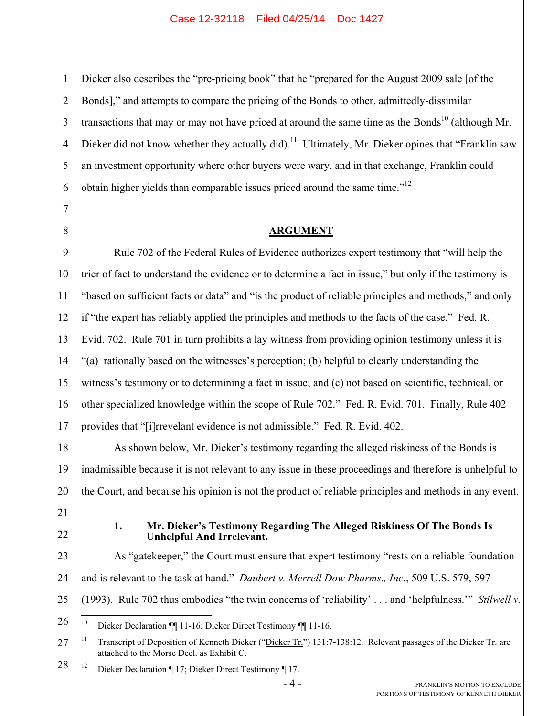Dieker also describes the "pre-pricing book" that he "prepared for the August 2009 sale [of the Bonds]," and attempts to compare the pricing of the Bonds to other, admittedly-dissimilar transactions that may or may not have priced at around the same time as the Bonds<sup>10</sup> (although Mr. Dieker did not know whether they actually did).<sup>11</sup> Ultimately, Mr. Dieker opines that "Franklin saw an investment opportunity where other buyers were wary, and in that exchange, Franklin could obtain higher yields than comparable issues priced around the same time."<sup>12</sup>

### **ARGUMENT**

Rule 702 of the Federal Rules of Evidence authorizes expert testimony that "will help the trier of fact to understand the evidence or to determine a fact in issue," but only if the testimony is "based on sufficient facts or data" and "is the product of reliable principles and methods," and only if "the expert has reliably applied the principles and methods to the facts of the case." Fed. R. Evid. 702. Rule 701 in turn prohibits a lay witness from providing opinion testimony unless it is "(a) rationally based on the witnesses's perception; (b) helpful to clearly understanding the witness's testimony or to determining a fact in issue; and (c) not based on scientific, technical, or other specialized knowledge within the scope of Rule 702." Fed. R. Evid. 701. Finally, Rule 402 provides that "[i]rrevelant evidence is not admissible." Fed. R. Evid. 402.

As shown below, Mr. Dieker's testimony regarding the alleged riskiness of the Bonds is inadmissible because it is not relevant to any issue in these proceedings and therefore is unhelpful to the Court, and because his opinion is not the product of reliable principles and methods in any event.

- 21
- 

#### **1. Mr. Dieker's Testimony Regarding The Alleged Riskiness Of The Bonds Is Unhelpful And Irrelevant.**

As "gatekeeper," the Court must ensure that expert testimony "rests on a reliable foundation and is relevant to the task at hand." *Daubert v. Merrell Dow Pharms., Inc.*, 509 U.S. 579, 597 (1993). Rule 702 thus embodies "the twin concerns of 'reliability' . . . and 'helpfulness.'" *Stilwell v.* 

28 <sup>12</sup> Dieker Declaration ¶ 17; Dieker Direct Testimony ¶ 17.

<sup>26</sup>  $10^{\circ}$ 10 Dieker Declaration ¶¶ 11-16; Dieker Direct Testimony ¶¶ 11-16.

<sup>27</sup> <sup>11</sup> Transcript of Deposition of Kenneth Dieker ("Dieker Tr.") 131:7-138:12. Relevant passages of the Dieker Tr. are attached to the Morse Decl. as Exhibit C.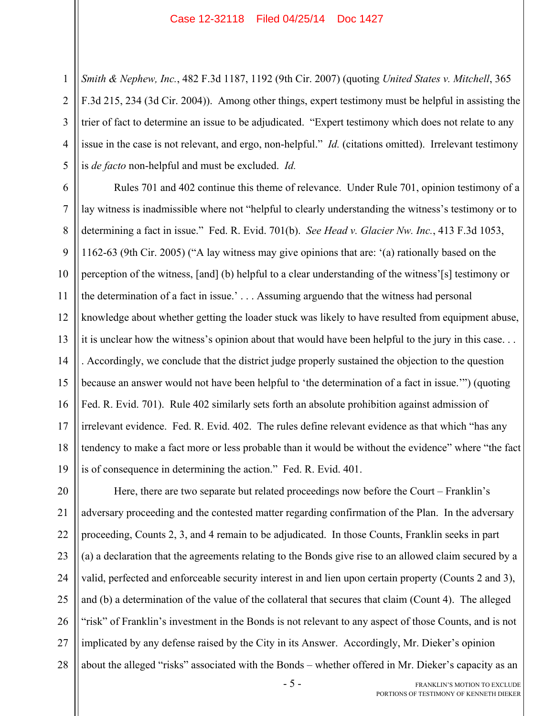1

2

3

4

5 *Smith & Nephew, Inc.*, 482 F.3d 1187, 1192 (9th Cir. 2007) (quoting *United States v. Mitchell*, 365 F.3d 215, 234 (3d Cir. 2004)). Among other things, expert testimony must be helpful in assisting the trier of fact to determine an issue to be adjudicated. "Expert testimony which does not relate to any issue in the case is not relevant, and ergo, non-helpful." *Id.* (citations omitted). Irrelevant testimony is *de facto* non-helpful and must be excluded. *Id.*

6 7 8 9 10 11 12 13 14 15 16 17 18 19 Rules 701 and 402 continue this theme of relevance. Under Rule 701, opinion testimony of a lay witness is inadmissible where not "helpful to clearly understanding the witness's testimony or to determining a fact in issue." Fed. R. Evid. 701(b). *See Head v. Glacier Nw. Inc.*, 413 F.3d 1053, 1162-63 (9th Cir. 2005) ("A lay witness may give opinions that are: '(a) rationally based on the perception of the witness, [and] (b) helpful to a clear understanding of the witness'[s] testimony or the determination of a fact in issue.' . . . Assuming arguendo that the witness had personal knowledge about whether getting the loader stuck was likely to have resulted from equipment abuse, it is unclear how the witness's opinion about that would have been helpful to the jury in this case. . . . Accordingly, we conclude that the district judge properly sustained the objection to the question because an answer would not have been helpful to 'the determination of a fact in issue.'") (quoting Fed. R. Evid. 701). Rule 402 similarly sets forth an absolute prohibition against admission of irrelevant evidence. Fed. R. Evid. 402. The rules define relevant evidence as that which "has any tendency to make a fact more or less probable than it would be without the evidence" where "the fact is of consequence in determining the action." Fed. R. Evid. 401.

20 21 22 23 24 25 26 27 28 Here, there are two separate but related proceedings now before the Court – Franklin's adversary proceeding and the contested matter regarding confirmation of the Plan. In the adversary proceeding, Counts 2, 3, and 4 remain to be adjudicated. In those Counts, Franklin seeks in part (a) a declaration that the agreements relating to the Bonds give rise to an allowed claim secured by a valid, perfected and enforceable security interest in and lien upon certain property (Counts 2 and 3), and (b) a determination of the value of the collateral that secures that claim (Count 4). The alleged "risk" of Franklin's investment in the Bonds is not relevant to any aspect of those Counts, and is not implicated by any defense raised by the City in its Answer. Accordingly, Mr. Dieker's opinion about the alleged "risks" associated with the Bonds – whether offered in Mr. Dieker's capacity as an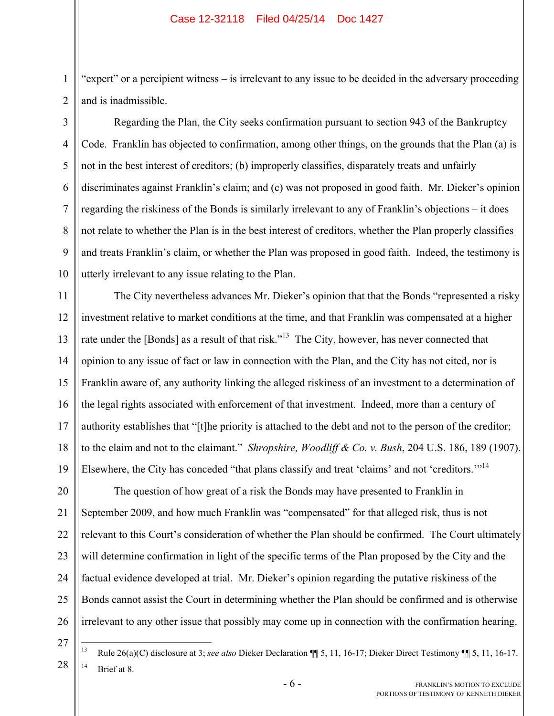"expert" or a percipient witness – is irrelevant to any issue to be decided in the adversary proceeding and is inadmissible.

2 3

1

4

5

6

7

8

9

10

Regarding the Plan, the City seeks confirmation pursuant to section 943 of the Bankruptcy Code. Franklin has objected to confirmation, among other things, on the grounds that the Plan (a) is not in the best interest of creditors; (b) improperly classifies, disparately treats and unfairly discriminates against Franklin's claim; and (c) was not proposed in good faith. Mr. Dieker's opinion regarding the riskiness of the Bonds is similarly irrelevant to any of Franklin's objections – it does not relate to whether the Plan is in the best interest of creditors, whether the Plan properly classifies and treats Franklin's claim, or whether the Plan was proposed in good faith. Indeed, the testimony is utterly irrelevant to any issue relating to the Plan.

11 12 13 14 15 16 17 18 19 The City nevertheless advances Mr. Dieker's opinion that that the Bonds "represented a risky investment relative to market conditions at the time, and that Franklin was compensated at a higher rate under the [Bonds] as a result of that risk."<sup>13</sup> The City, however, has never connected that opinion to any issue of fact or law in connection with the Plan, and the City has not cited, nor is Franklin aware of, any authority linking the alleged riskiness of an investment to a determination of the legal rights associated with enforcement of that investment. Indeed, more than a century of authority establishes that "[t]he priority is attached to the debt and not to the person of the creditor; to the claim and not to the claimant." *Shropshire, Woodliff & Co. v. Bush*, 204 U.S. 186, 189 (1907). Elsewhere, the City has conceded "that plans classify and treat 'claims' and not 'creditors."<sup>14</sup>

20 21 22 23 24 25 26 The question of how great of a risk the Bonds may have presented to Franklin in September 2009, and how much Franklin was "compensated" for that alleged risk, thus is not relevant to this Court's consideration of whether the Plan should be confirmed. The Court ultimately will determine confirmation in light of the specific terms of the Plan proposed by the City and the factual evidence developed at trial. Mr. Dieker's opinion regarding the putative riskiness of the Bonds cannot assist the Court in determining whether the Plan should be confirmed and is otherwise irrelevant to any other issue that possibly may come up in connection with the confirmation hearing.

27

28

13 13 Rule 26(a)(C) disclosure at 3; *see also* Dieker Declaration ¶¶ 5, 11, 16-17; Dieker Direct Testimony ¶¶ 5, 11, 16-17.  $14$  Brief at 8.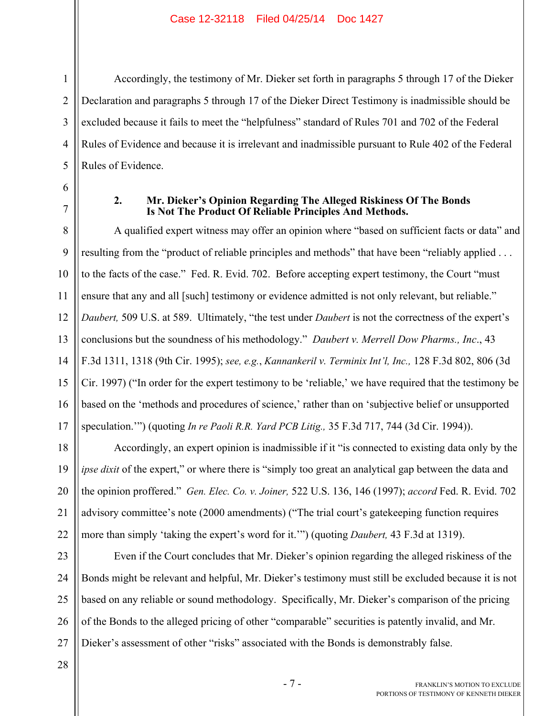Accordingly, the testimony of Mr. Dieker set forth in paragraphs 5 through 17 of the Dieker Declaration and paragraphs 5 through 17 of the Dieker Direct Testimony is inadmissible should be excluded because it fails to meet the "helpfulness" standard of Rules 701 and 702 of the Federal Rules of Evidence and because it is irrelevant and inadmissible pursuant to Rule 402 of the Federal Rules of Evidence.

6 7

1

2

3

4

5

## **2. Mr. Dieker's Opinion Regarding The Alleged Riskiness Of The Bonds Is Not The Product Of Reliable Principles And Methods.**

8 9 10 11 12 13 14 15 16 17 A qualified expert witness may offer an opinion where "based on sufficient facts or data" and resulting from the "product of reliable principles and methods" that have been "reliably applied ... to the facts of the case." Fed. R. Evid. 702. Before accepting expert testimony, the Court "must ensure that any and all [such] testimony or evidence admitted is not only relevant, but reliable." *Daubert,* 509 U.S. at 589. Ultimately, "the test under *Daubert* is not the correctness of the expert's conclusions but the soundness of his methodology." *Daubert v. Merrell Dow Pharms., Inc*., 43 F.3d 1311, 1318 (9th Cir. 1995); *see, e.g.*, *Kannankeril v. Terminix Int'l, Inc.,* 128 F.3d 802, 806 (3d Cir. 1997) ("In order for the expert testimony to be 'reliable,' we have required that the testimony be based on the 'methods and procedures of science,' rather than on 'subjective belief or unsupported speculation.'") (quoting *In re Paoli R.R. Yard PCB Litig.,* 35 F.3d 717, 744 (3d Cir. 1994)).

18 19 20 21 22 Accordingly, an expert opinion is inadmissible if it "is connected to existing data only by the *ipse dixit* of the expert," or where there is "simply too great an analytical gap between the data and the opinion proffered." *Gen. Elec. Co. v. Joiner,* 522 U.S. 136, 146 (1997); *accord* Fed. R. Evid. 702 advisory committee's note (2000 amendments) ("The trial court's gatekeeping function requires more than simply 'taking the expert's word for it.'") (quoting *Daubert,* 43 F.3d at 1319).

23 24 25 26 27 Even if the Court concludes that Mr. Dieker's opinion regarding the alleged riskiness of the Bonds might be relevant and helpful, Mr. Dieker's testimony must still be excluded because it is not based on any reliable or sound methodology. Specifically, Mr. Dieker's comparison of the pricing of the Bonds to the alleged pricing of other "comparable" securities is patently invalid, and Mr. Dieker's assessment of other "risks" associated with the Bonds is demonstrably false.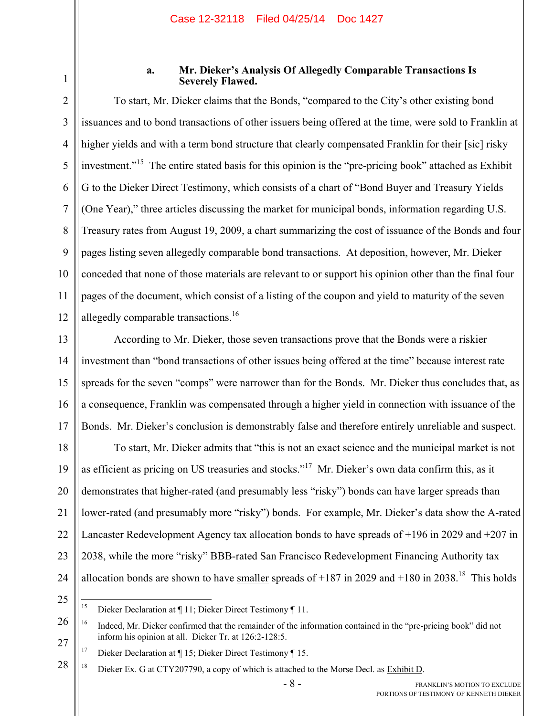1

## **a. Mr. Dieker's Analysis Of Allegedly Comparable Transactions Is Severely Flawed.**

2 3 4 5 6 7 8 9 10 11 12 To start, Mr. Dieker claims that the Bonds, "compared to the City's other existing bond issuances and to bond transactions of other issuers being offered at the time, were sold to Franklin at higher yields and with a term bond structure that clearly compensated Franklin for their [sic] risky investment."<sup>15</sup> The entire stated basis for this opinion is the "pre-pricing book" attached as Exhibit G to the Dieker Direct Testimony, which consists of a chart of "Bond Buyer and Treasury Yields (One Year)," three articles discussing the market for municipal bonds, information regarding U.S. Treasury rates from August 19, 2009, a chart summarizing the cost of issuance of the Bonds and four pages listing seven allegedly comparable bond transactions. At deposition, however, Mr. Dieker conceded that none of those materials are relevant to or support his opinion other than the final four pages of the document, which consist of a listing of the coupon and yield to maturity of the seven allegedly comparable transactions.<sup>16</sup>

13 14 15 16 17 According to Mr. Dieker, those seven transactions prove that the Bonds were a riskier investment than "bond transactions of other issues being offered at the time" because interest rate spreads for the seven "comps" were narrower than for the Bonds. Mr. Dieker thus concludes that, as a consequence, Franklin was compensated through a higher yield in connection with issuance of the Bonds. Mr. Dieker's conclusion is demonstrably false and therefore entirely unreliable and suspect.

18 19 20 21 22 23 24 To start, Mr. Dieker admits that "this is not an exact science and the municipal market is not as efficient as pricing on US treasuries and stocks."<sup>17</sup> Mr. Dieker's own data confirm this, as it demonstrates that higher-rated (and presumably less "risky") bonds can have larger spreads than lower-rated (and presumably more "risky") bonds. For example, Mr. Dieker's data show the A-rated Lancaster Redevelopment Agency tax allocation bonds to have spreads of +196 in 2029 and +207 in 2038, while the more "risky" BBB-rated San Francisco Redevelopment Financing Authority tax allocation bonds are shown to have smaller spreads of  $+187$  in 2029 and  $+180$  in 2038.<sup>18</sup> This holds

 $15$ 15 Dieker Declaration at ¶ 11; Dieker Direct Testimony ¶ 11.

<sup>26</sup> 27 <sup>16</sup> Indeed, Mr. Dieker confirmed that the remainder of the information contained in the "pre-pricing book" did not inform his opinion at all. Dieker Tr. at 126:2-128:5.

<sup>&</sup>lt;sup>17</sup> Dieker Declaration at  $\P$  15; Dieker Direct Testimony  $\P$  15.

<sup>28</sup> <sup>18</sup> Dieker Ex. G at CTY207790, a copy of which is attached to the Morse Decl. as Exhibit D.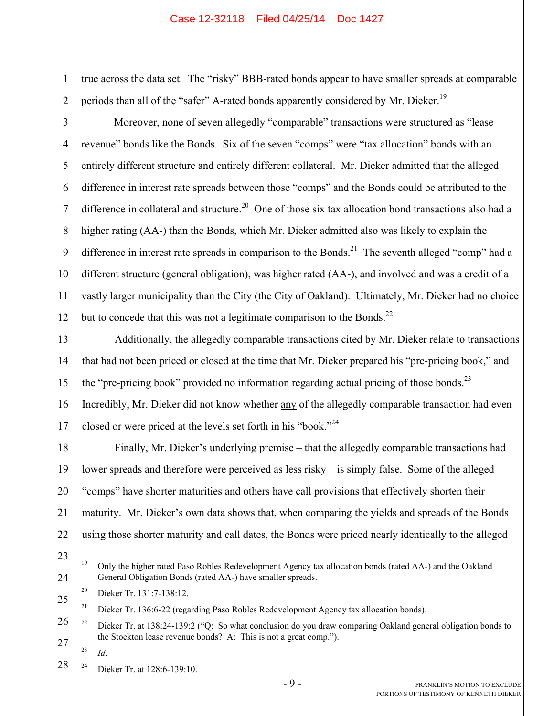1 2 true across the data set. The "risky" BBB-rated bonds appear to have smaller spreads at comparable periods than all of the "safer" A-rated bonds apparently considered by Mr. Dieker.<sup>19</sup>

3 4 5 6 7 8 9 10 11 12 Moreover, none of seven allegedly "comparable" transactions were structured as "lease revenue" bonds like the Bonds. Six of the seven "comps" were "tax allocation" bonds with an entirely different structure and entirely different collateral. Mr. Dieker admitted that the alleged difference in interest rate spreads between those "comps" and the Bonds could be attributed to the difference in collateral and structure.<sup>20</sup> One of those six tax allocation bond transactions also had a higher rating (AA-) than the Bonds, which Mr. Dieker admitted also was likely to explain the difference in interest rate spreads in comparison to the Bonds.<sup>21</sup> The seventh alleged "comp" had a different structure (general obligation), was higher rated (AA-), and involved and was a credit of a vastly larger municipality than the City (the City of Oakland). Ultimately, Mr. Dieker had no choice but to concede that this was not a legitimate comparison to the Bonds.<sup>22</sup>

13 14 15 16 17 Additionally, the allegedly comparable transactions cited by Mr. Dieker relate to transactions that had not been priced or closed at the time that Mr. Dieker prepared his "pre-pricing book," and the "pre-pricing book" provided no information regarding actual pricing of those bonds.<sup>23</sup> Incredibly, Mr. Dieker did not know whether any of the allegedly comparable transaction had even closed or were priced at the levels set forth in his "book."<sup>24</sup>

18 19 20 21 22 Finally, Mr. Dieker's underlying premise – that the allegedly comparable transactions had lower spreads and therefore were perceived as less risky – is simply false. Some of the alleged "comps" have shorter maturities and others have call provisions that effectively shorten their maturity. Mr. Dieker's own data shows that, when comparing the yields and spreads of the Bonds using those shorter maturity and call dates, the Bonds were priced nearly identically to the alleged

- 23 24  $19$ 19 Only the higher rated Paso Robles Redevelopment Agency tax allocation bonds (rated AA-) and the Oakland General Obligation Bonds (rated AA-) have smaller spreads.
	- 20 Dieker Tr. 131:7-138:12.

23 *Id*.

28 <sup>24</sup> Dieker Tr. at  $128.6 - 139.10$ .

<sup>25</sup> <sup>21</sup> Dieker Tr. 136:6-22 (regarding Paso Robles Redevelopment Agency tax allocation bonds).

<sup>26</sup> 27 <sup>22</sup> Dieker Tr. at 138:24-139:2 ("O: So what conclusion do you draw comparing Oakland general obligation bonds to the Stockton lease revenue bonds? A: This is not a great comp.").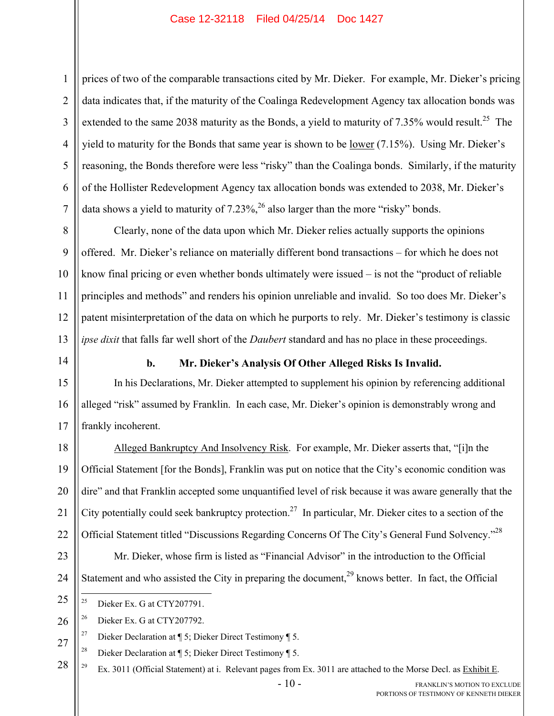2 3 4 5 6 7 prices of two of the comparable transactions cited by Mr. Dieker. For example, Mr. Dieker's pricing data indicates that, if the maturity of the Coalinga Redevelopment Agency tax allocation bonds was extended to the same 2038 maturity as the Bonds, a yield to maturity of 7.35% would result.<sup>25</sup> The yield to maturity for the Bonds that same year is shown to be <u>lower</u> (7.15%). Using Mr. Dieker's reasoning, the Bonds therefore were less "risky" than the Coalinga bonds. Similarly, if the maturity of the Hollister Redevelopment Agency tax allocation bonds was extended to 2038, Mr. Dieker's data shows a yield to maturity of  $7.23\%$ ,  $^{26}$  also larger than the more "risky" bonds.

8 9 10 11 12 13 Clearly, none of the data upon which Mr. Dieker relies actually supports the opinions offered. Mr. Dieker's reliance on materially different bond transactions – for which he does not know final pricing or even whether bonds ultimately were issued – is not the "product of reliable principles and methods" and renders his opinion unreliable and invalid. So too does Mr. Dieker's patent misinterpretation of the data on which he purports to rely. Mr. Dieker's testimony is classic *ipse dixit* that falls far well short of the *Daubert* standard and has no place in these proceedings.

14

15

16

17

1

## **b. Mr. Dieker's Analysis Of Other Alleged Risks Is Invalid.**

In his Declarations, Mr. Dieker attempted to supplement his opinion by referencing additional alleged "risk" assumed by Franklin. In each case, Mr. Dieker's opinion is demonstrably wrong and frankly incoherent.

18 19 20 21 22 Alleged Bankruptcy And Insolvency Risk. For example, Mr. Dieker asserts that, "[i]n the Official Statement [for the Bonds], Franklin was put on notice that the City's economic condition was dire" and that Franklin accepted some unquantified level of risk because it was aware generally that the City potentially could seek bankruptcy protection.<sup>27</sup> In particular, Mr. Dieker cites to a section of the Official Statement titled "Discussions Regarding Concerns Of The City's General Fund Solvency."<sup>28</sup>

Mr. Dieker, whose firm is listed as "Financial Advisor" in the introduction to the Official

Statement and who assisted the City in preparing the document,  $^{29}$  knows better. In fact, the Official

# 23 24

25  $25$ 

Dieker Ex. G at CTY207791.

26  $26$  Dieker Ex. G at CTY207792.

27 <sup>27</sup> Dieker Declaration at  $\P$  5; Dieker Direct Testimony  $\P$  5.

<sup>28</sup> Dieker Declaration at  $\P$  5; Dieker Direct Testimony  $\P$  5.

28 <sup>29</sup> Ex. 3011 (Official Statement) at i. Relevant pages from Ex. 3011 are attached to the Morse Decl. as Exhibit E.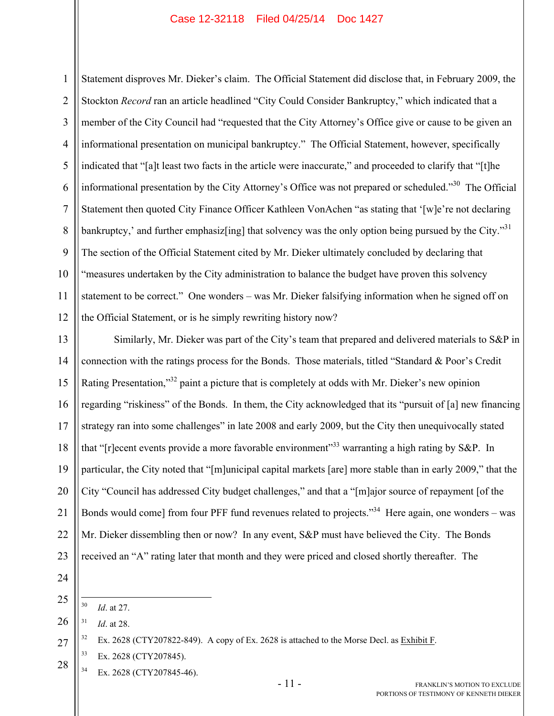1 2 3 4 5 6 7 8 9 10 11 12 Statement disproves Mr. Dieker's claim. The Official Statement did disclose that, in February 2009, the Stockton *Record* ran an article headlined "City Could Consider Bankruptcy," which indicated that a member of the City Council had "requested that the City Attorney's Office give or cause to be given an informational presentation on municipal bankruptcy." The Official Statement, however, specifically indicated that "[a]t least two facts in the article were inaccurate," and proceeded to clarify that "[t]he informational presentation by the City Attorney's Office was not prepared or scheduled."<sup>30</sup> The Official Statement then quoted City Finance Officer Kathleen VonAchen "as stating that '[w]e're not declaring bankruptcy,' and further emphasiz[ing] that solvency was the only option being pursued by the City."<sup>31</sup> The section of the Official Statement cited by Mr. Dieker ultimately concluded by declaring that "measures undertaken by the City administration to balance the budget have proven this solvency statement to be correct." One wonders – was Mr. Dieker falsifying information when he signed off on the Official Statement, or is he simply rewriting history now?

13 14 15 16 17 18 19 20 21 22 23 Similarly, Mr. Dieker was part of the City's team that prepared and delivered materials to S&P in connection with the ratings process for the Bonds. Those materials, titled "Standard & Poor's Credit Rating Presentation,"<sup>32</sup> paint a picture that is completely at odds with Mr. Dieker's new opinion regarding "riskiness" of the Bonds. In them, the City acknowledged that its "pursuit of [a] new financing strategy ran into some challenges" in late 2008 and early 2009, but the City then unequivocally stated that "[r]ecent events provide a more favorable environment"<sup>33</sup> warranting a high rating by S&P. In particular, the City noted that "[m]unicipal capital markets [are] more stable than in early 2009," that the City "Council has addressed City budget challenges," and that a "[m]ajor source of repayment [of the Bonds would come] from four PFF fund revenues related to projects.<sup>34</sup> Here again, one wonders – was Mr. Dieker dissembling then or now? In any event, S&P must have believed the City. The Bonds received an "A" rating later that month and they were priced and closed shortly thereafter. The

24

- $30\text{ }$ *Id.* at 27.
- 26 31 *Id*. at 28.

- 28 33 Ex. 2628 (CTY207845).
	- $134$  Ex. 2628 (CTY207845-46).

<sup>27</sup>  $32$  Ex. 2628 (CTY207822-849). A copy of Ex. 2628 is attached to the Morse Decl. as Exhibit F.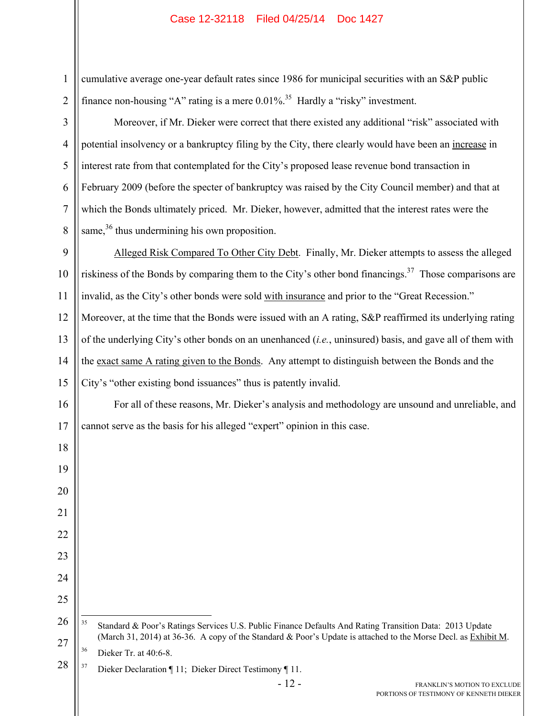| $\mathbf{1}$   | cumulative average one-year default rates since 1986 for municipal securities with an S&P public                                              |
|----------------|-----------------------------------------------------------------------------------------------------------------------------------------------|
| $\overline{2}$ | finance non-housing "A" rating is a mere $0.01\%$ . <sup>35</sup> Hardly a "risky" investment.                                                |
| 3              | Moreover, if Mr. Dieker were correct that there existed any additional "risk" associated with                                                 |
| $\overline{4}$ | potential insolvency or a bankruptcy filing by the City, there clearly would have been an increase in                                         |
| 5              | interest rate from that contemplated for the City's proposed lease revenue bond transaction in                                                |
| 6              | February 2009 (before the specter of bankruptcy was raised by the City Council member) and that at                                            |
| $\tau$         | which the Bonds ultimately priced. Mr. Dieker, however, admitted that the interest rates were the                                             |
| 8              | same, $36$ thus undermining his own proposition.                                                                                              |
| 9              | Alleged Risk Compared To Other City Debt. Finally, Mr. Dieker attempts to assess the alleged                                                  |
| 10             | riskiness of the Bonds by comparing them to the City's other bond financings. <sup>37</sup> Those comparisons are                             |
| 11             | invalid, as the City's other bonds were sold with insurance and prior to the "Great Recession."                                               |
| 12             | Moreover, at the time that the Bonds were issued with an A rating, S&P reaffirmed its underlying rating                                       |
| 13             | of the underlying City's other bonds on an unenhanced ( <i>i.e.</i> , uninsured) basis, and gave all of them with                             |
| 14             | the exact same A rating given to the Bonds. Any attempt to distinguish between the Bonds and the                                              |
| 15             | City's "other existing bond issuances" thus is patently invalid.                                                                              |
| 16             | For all of these reasons, Mr. Dieker's analysis and methodology are unsound and unreliable, and                                               |
| 17             | cannot serve as the basis for his alleged "expert" opinion in this case.                                                                      |
| 18             |                                                                                                                                               |
| 19             |                                                                                                                                               |
| 20             |                                                                                                                                               |
| 21             |                                                                                                                                               |
| 22             |                                                                                                                                               |
| 23             |                                                                                                                                               |
| 24             |                                                                                                                                               |
| 25             |                                                                                                                                               |
| 26             | 35<br>Standard & Poor's Ratings Services U.S. Public Finance Defaults And Rating Transition Data: 2013 Update                                 |
| 27             | (March 31, 2014) at 36-36. A copy of the Standard & Poor's Update is attached to the Morse Decl. as Exhibit M.<br>36<br>Dieker Tr. at 40:6-8. |
| 28             | 37<br>Dieker Declaration ¶ 11; Dieker Direct Testimony ¶ 11.                                                                                  |
|                | $-12-$<br>FRANKLIN'S MOTION TO EXCLUDE                                                                                                        |